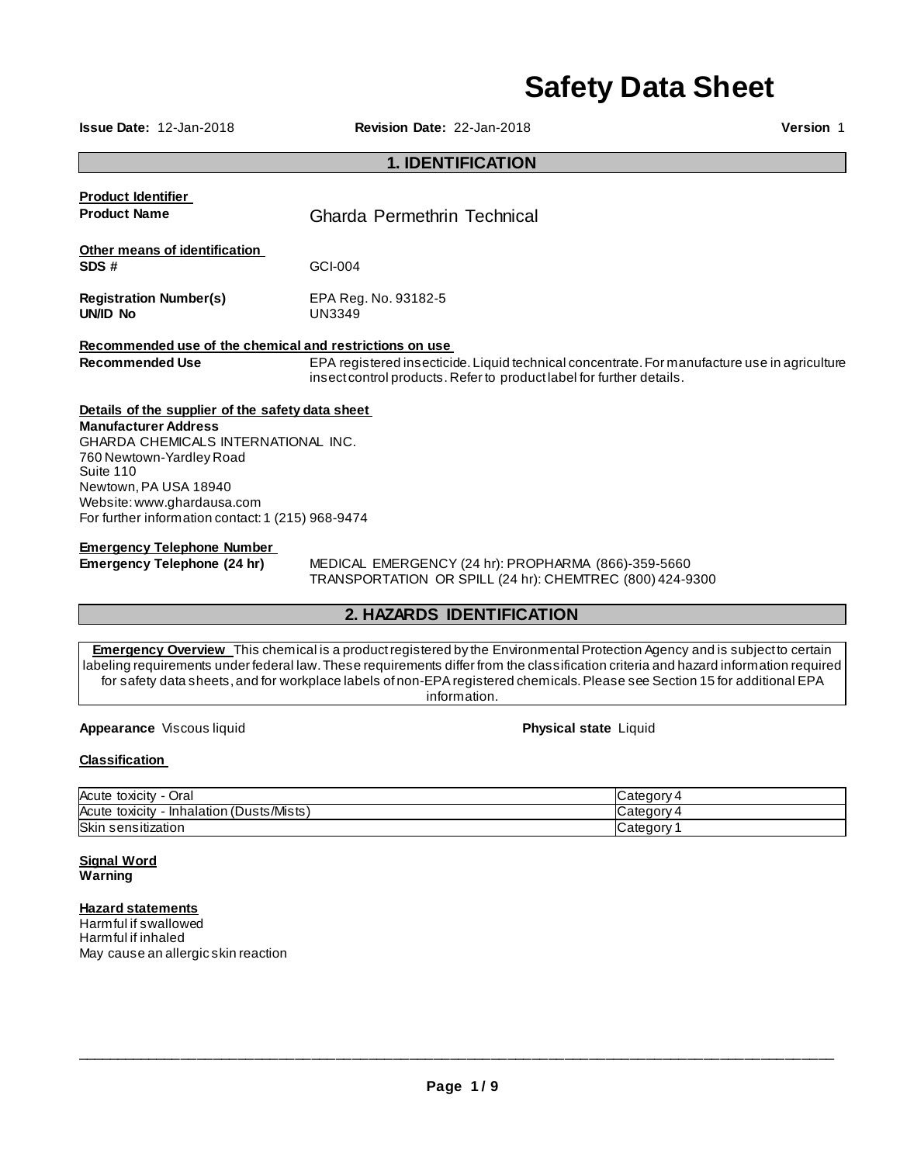# **Safety Data Sheet**

**Issue Date:** 12-Jan-2018 **Revision Date:** 22-Jan-2018 **Version** 1

# **1. IDENTIFICATION**

| <b>Product Identifier</b><br><b>Product Name</b>                          | Gharda Permethrin Technical                                                                                                                                          |
|---------------------------------------------------------------------------|----------------------------------------------------------------------------------------------------------------------------------------------------------------------|
| Other means of identification<br>SDS#                                     | GCI-004                                                                                                                                                              |
| <b>Registration Number(s)</b><br>UNID No                                  | EPA Reg. No. 93182-5<br>UN3349                                                                                                                                       |
| Recommended use of the chemical and restrictions on use                   |                                                                                                                                                                      |
| <b>Recommended Use</b>                                                    | EPA registered insecticide. Liquid technical concentrate. For manufacture use in agriculture<br>insect control products. Refer to product label for further details. |
| Details of the supplier of the safety data sheet                          |                                                                                                                                                                      |
| <b>Manufacturer Address</b><br><b>GHARDA CHEMICALS INTERNATIONAL INC.</b> |                                                                                                                                                                      |
| 760 Newtown-Yardley Road                                                  |                                                                                                                                                                      |
| Suite 110                                                                 |                                                                                                                                                                      |
| Newtown, PA USA 18940                                                     |                                                                                                                                                                      |
| Website: www.ghardausa.com                                                |                                                                                                                                                                      |
| For further information contact: 1 (215) 968-9474                         |                                                                                                                                                                      |
| <b>Emergency Telephone Number</b>                                         |                                                                                                                                                                      |

**Emergency Telephone (24 hr)** MEDICAL EMERGENCY (24 hr): PROPHARMA (866)-359-5660 TRANSPORTATION OR SPILL (24 hr): CHEMTREC (800) 424-9300

# **2. HAZARDS IDENTIFICATION**

**Emergency Overview** This chemical is a product registered by the Environmental Protection Agency and is subject to certain labeling requirements under federal law. These requirements differ from the classification criteria and hazard information required for safety data sheets, and for workplace labels of non-EPA registered chemicals. Please see Section 15 for additional EPA information.

**Appearance** Viscous liquid **Physical state** Liquid **Physical state** Liquid

# **Classification**

| Acute toxicity<br>Oral<br>$\sim$ 100 $\sim$  | 4 ategoryٽ            |
|----------------------------------------------|-----------------------|
| - Inhalation (Dusts/Mists)<br>Acute toxicity | ⊿ategory ک            |
| Skin sensitization                           | Category <sup>•</sup> |

**Signal Word Warning** 

# **Hazard statements**

Harmful if swallowed Harmful if inhaled May cause an allergic skin reaction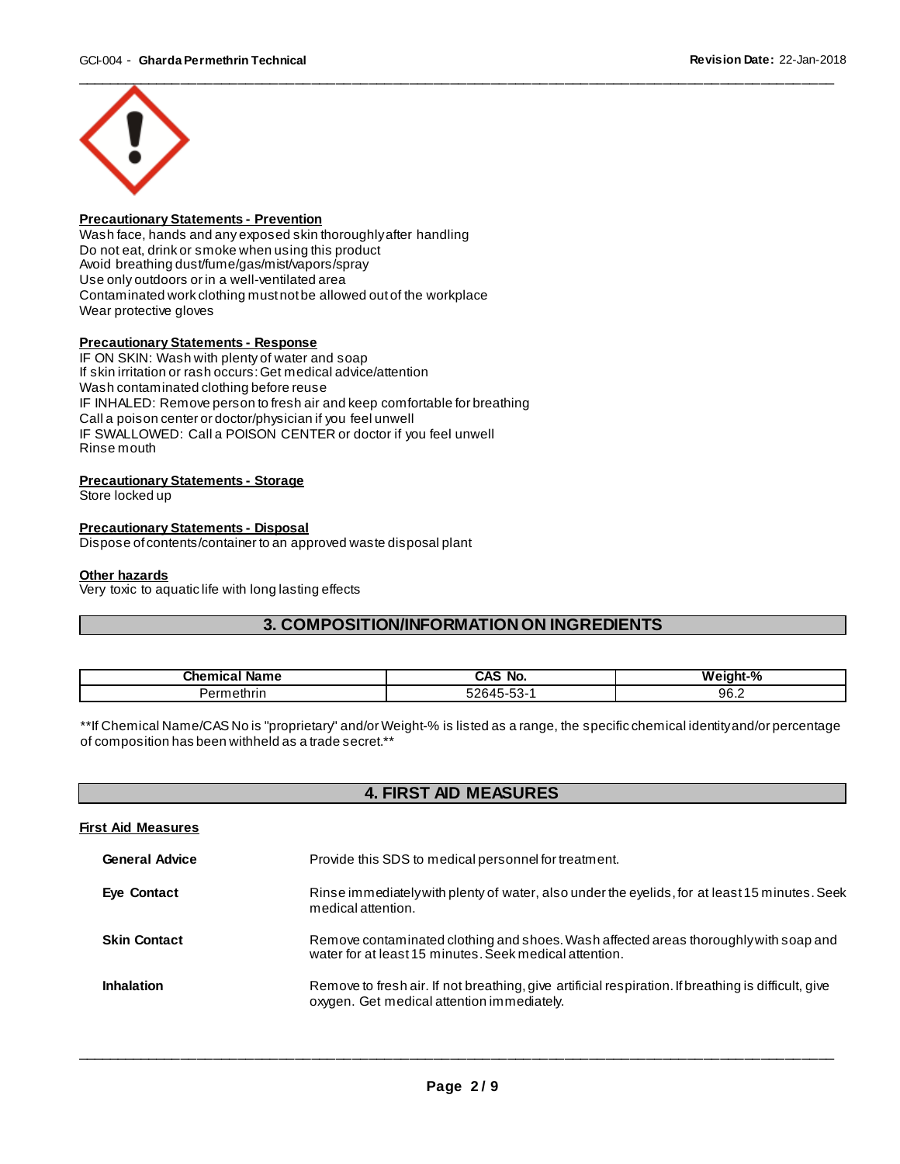

# **Precautionary Statements - Prevention**

Wash face, hands and any exposed skin thoroughly after handling Do not eat, drink or smoke when using this product Avoid breathing dust/fume/gas/mist/vapors/spray Use only outdoors or in a well-ventilated area Contaminated work clothing must not be allowed out of the workplace Wear protective gloves

# **Precautionary Statements - Response**

IF ON SKIN: Wash with plenty of water and soap If skin irritation or rash occurs: Get medical advice/attention Wash contaminated clothing before reuse IF INHALED: Remove person to fresh air and keep comfortable for breathing Call a poison center or doctor/physician if you feel unwell IF SWALLOWED: Call a POISON CENTER or doctor if you feel unwell Rinse mouth

# **Precautionary Statements - Storage**

Store locked up

# **Precautionary Statements - Disposal**

Dispose of contents/container to an approved waste disposal plant

#### **Other hazards**

Very toxic to aquatic life with long lasting effects

# **3. COMPOSITION/INFORMATION ON INGREDIENTS**

| <b>Phamissi</b><br>. In me<br>. . н<br>яш<br>- 21 | No<br>$\cdots$<br>-        | - 04<br>w<br>ำnt-‰ |
|---------------------------------------------------|----------------------------|--------------------|
| $\sim$<br>ieulili.<br>எ                           | --<br>.<br>--<br>ູນ<br>. . | 96.2               |

\*\*If Chemical Name/CAS No is "proprietary" and/or Weight-% is listed as a range, the specific chemical identity and/or percentage of composition has been withheld as a trade secret.\*\*

# **4. FIRST AID MEASURES**

| First Aid Measures    |                                                                                                                                                   |
|-----------------------|---------------------------------------------------------------------------------------------------------------------------------------------------|
| <b>General Advice</b> | Provide this SDS to medical personnel for treatment.                                                                                              |
| Eye Contact           | Rinse immediately with plenty of water, also under the eyelids, for at least 15 minutes. Seek<br>medical attention.                               |
| <b>Skin Contact</b>   | Remove contaminated clothing and shoes. Wash affected areas thoroughly with soap and<br>water for at least 15 minutes. Seek medical attention.    |
| <b>Inhalation</b>     | Remove to fresh air. If not breathing, give artificial respiration. If breathing is difficult, give<br>oxygen. Get medical attention immediately. |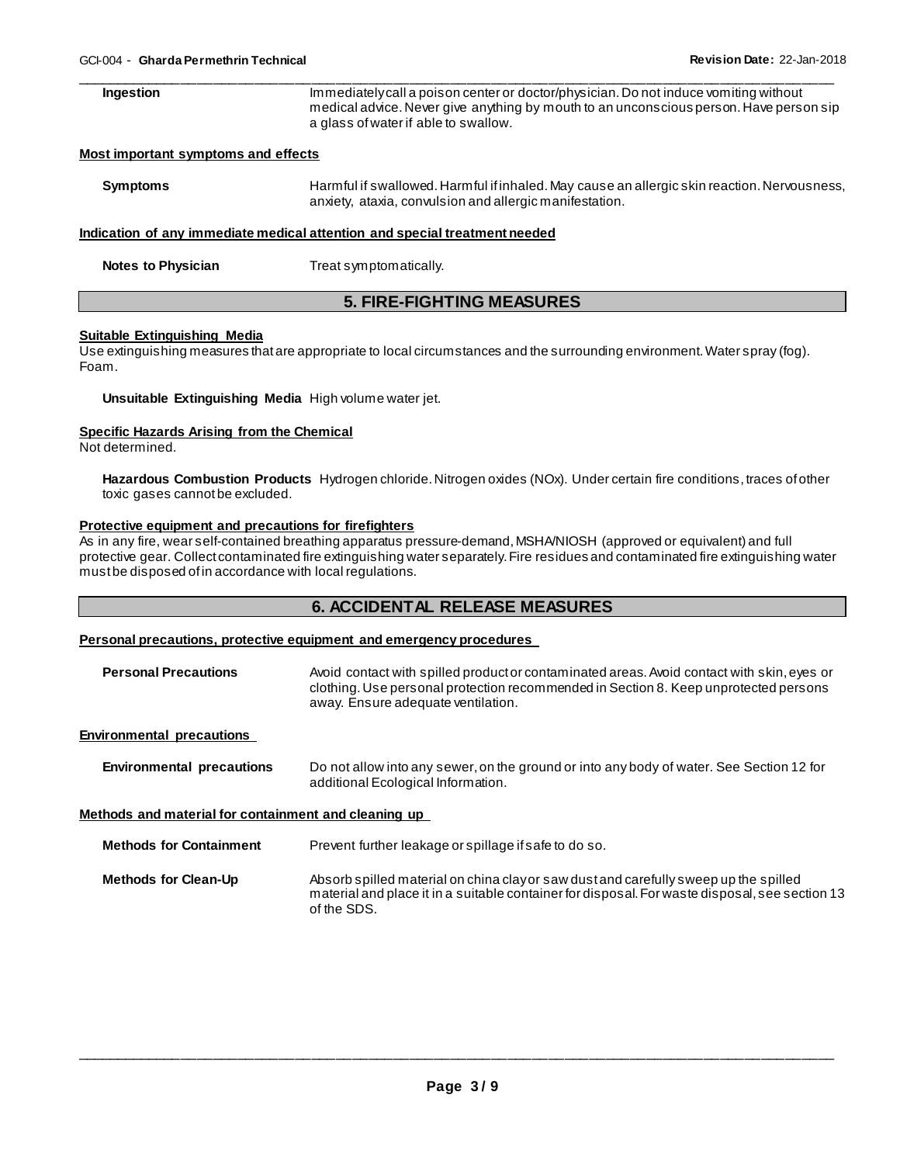| Ingestion                           | Immediately call a poison center or doctor/physician. Do not induce vomiting without<br>medical advice. Never give anything by mouth to an unconscious person. Have person sip<br>a glass of water if able to swallow. |
|-------------------------------------|------------------------------------------------------------------------------------------------------------------------------------------------------------------------------------------------------------------------|
| Most important symptoms and effects |                                                                                                                                                                                                                        |

| Symptoms | Harmful if swallowed. Harmful if inhaled. May cause an allergic skin reaction. Nervousness, |
|----------|---------------------------------------------------------------------------------------------|
|          | anxiety, ataxia, convulsion and allergic manifestation.                                     |

# **Indication of any immediate medical attention and special treatment needed**

| <b>Notes to Physician</b> | Treat symptomatically. |
|---------------------------|------------------------|
|                           |                        |

# **5. FIRE-FIGHTING MEASURES**

#### **Suitable Extinguishing Media**

Use extinguishing measures that are appropriate to local circumstances and the surrounding environment. Water spray (fog). Foam.

# **Unsuitable Extinguishing Media** High volume water jet.

#### **Specific Hazards Arising from the Chemical**

Not determined.

**Hazardous Combustion Products** Hydrogen chloride. Nitrogen oxides (NOx). Under certain fire conditions, traces of other toxic gases cannot be excluded.

# **Protective equipment and precautions for firefighters**

As in any fire, wear self-contained breathing apparatus pressure-demand, MSHA/NIOSH (approved or equivalent) and full protective gear. Collect contaminated fire extinguishing water separately. Fire residues and contaminated fire extinguishing water must be disposed of in accordance with local regulations.

# **6. ACCIDENTAL RELEASE MEASURES**

# **Personal precautions, protective equipment and emergency procedures**

| <b>Personal Precautions</b> | Avoid contact with spilled product or contaminated areas. Avoid contact with skin, eyes or |
|-----------------------------|--------------------------------------------------------------------------------------------|
|                             | clothing. Use personal protection recommended in Section 8. Keep unprotected persons       |
|                             | away. Ensure adequate ventilation.                                                         |

# **Environmental precautions**

| <b>Environmental precautions</b> | Do not allow into any sewer, on the ground or into any body of water. See Section 12 for |
|----------------------------------|------------------------------------------------------------------------------------------|
|                                  | additional Ecological Information.                                                       |

**Methods and material for containment and cleaning up** 

| <b>Methods for Containment</b> | Prevent further leakage or spillage if safe to do so. |
|--------------------------------|-------------------------------------------------------|
|                                |                                                       |

| <b>Methods for Clean-Up</b> | Absorb spilled material on china clayor saw dust and carefully sweep up the spilled            |
|-----------------------------|------------------------------------------------------------------------------------------------|
|                             | material and place it in a suitable container for disposal. For waste disposal, see section 13 |
|                             | of the SDS.                                                                                    |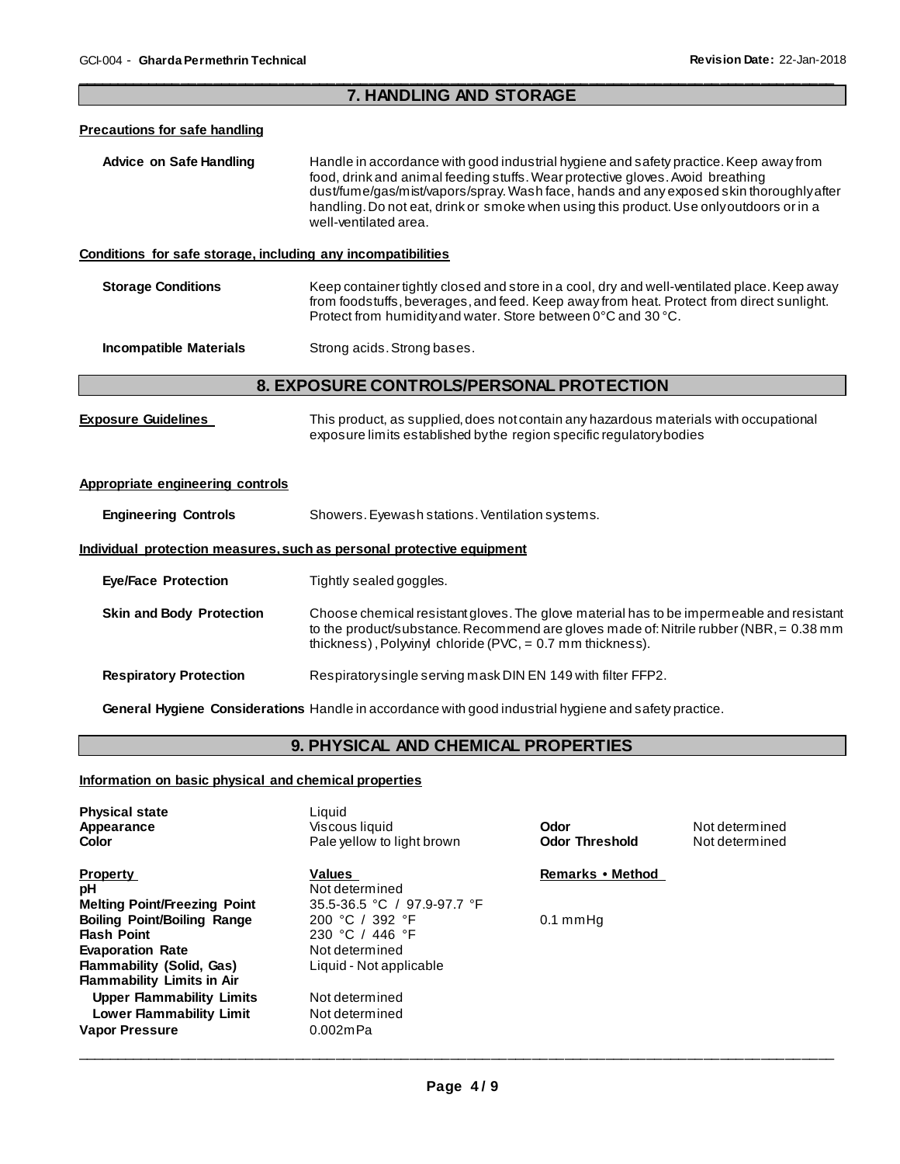# \_\_\_\_\_\_\_\_\_\_\_\_\_\_\_\_\_\_\_\_\_\_\_\_\_\_\_\_\_\_\_\_\_\_\_\_\_\_\_\_\_\_\_\_\_\_\_\_\_\_\_\_\_\_\_\_\_\_\_\_\_\_\_\_\_\_\_\_\_\_\_\_\_\_\_\_\_\_\_\_\_\_\_\_\_\_\_\_\_\_\_\_\_ **7. HANDLING AND STORAGE**

# **Precautions for safe handling**

| Advice on Safe Handling | Handle in accordance with good industrial hygiene and safety practice. Keep away from   |
|-------------------------|-----------------------------------------------------------------------------------------|
|                         | food, drink and animal feeding stuffs. Wear protective gloves. Avoid breathing          |
|                         | dust/fume/gas/mist/vapors/spray. Wash face, hands and any exposed skin thoroughly after |
|                         | handling. Do not eat, drink or smoke when using this product. Use only outdoors or in a |
|                         | well-ventilated area.                                                                   |

# **Conditions for safe storage, including any incompatibilities**

**Storage Conditions Keep container tightly closed and store in a cool, dry and well-ventilated place. Keep away** from foodstuffs, beverages, and feed. Keep away from heat. Protect from direct sunlight. Protect from humidity and water. Store between 0°C and 30 °C.

**Incompatible Materials Strong acids. Strong bases.** 

# **8. EXPOSURE CONTROLS/PERSONAL PROTECTION**

| <b>Exposure Guidelines</b> | This product, as supplied, does not contain any hazardous materials with occupational |
|----------------------------|---------------------------------------------------------------------------------------|
|                            | exposure limits established by the region specific regulatory bodies                  |

# **Appropriate engineering controls**

| <b>Engineering Controls</b> | Showers. Eyewash stations. Ventilation systems. |
|-----------------------------|-------------------------------------------------|
|-----------------------------|-------------------------------------------------|

# **Individual protection measures, such as personal protective equipment**

| <b>Eye/Face Protection</b>      | Tightly sealed goggles.                                                                                                                                                                                                                             |
|---------------------------------|-----------------------------------------------------------------------------------------------------------------------------------------------------------------------------------------------------------------------------------------------------|
| <b>Skin and Body Protection</b> | Choose chemical resistant gloves. The glove material has to be impermeable and resistant<br>to the product/substance. Recommend are gloves made of: Nitrile rubber (NBR, $= 0.38$ mm<br>thickness), Polyvinyl chloride (PVC, $= 0.7$ mm thickness). |
| <b>Respiratory Protection</b>   | Respiratory single serving mask DIN EN 149 with filter FFP2.                                                                                                                                                                                        |

**General Hygiene Considerations** Handle in accordance with good industrial hygiene and safety practice.

# **9. PHYSICAL AND CHEMICAL PROPERTIES**

# **Information on basic physical and chemical properties**

| <b>Physical state</b><br>Appearance<br>Color                                                                                                 | Liquid<br>Viscous liquid<br>Pale yellow to light brown                          | Odor<br><b>Odor Threshold</b> | Not determined<br>Not determined |
|----------------------------------------------------------------------------------------------------------------------------------------------|---------------------------------------------------------------------------------|-------------------------------|----------------------------------|
| <b>Property</b><br>рH<br><b>Melting Point/Freezing Point</b>                                                                                 | <b>Values</b><br>Not determined<br>35.5-36.5 °C / 97.9-97.7 °F                  | Remarks • Method              |                                  |
| <b>Boiling Point/Boiling Range</b><br><b>Flash Point</b><br><b>Evaporation Rate</b>                                                          | 200 °C / 392 °F<br>230 °C / 446 °F<br>Not determined<br>Liquid - Not applicable | $0.1 \text{ mmHg}$            |                                  |
| <b>Flammability (Solid, Gas)</b><br><b>Flammability Limits in Air</b><br><b>Upper Flammability Limits</b><br><b>Lower Flammability Limit</b> | Not determined<br>Not determined                                                |                               |                                  |
| <b>Vapor Pressure</b>                                                                                                                        | $0.002$ mPa                                                                     |                               |                                  |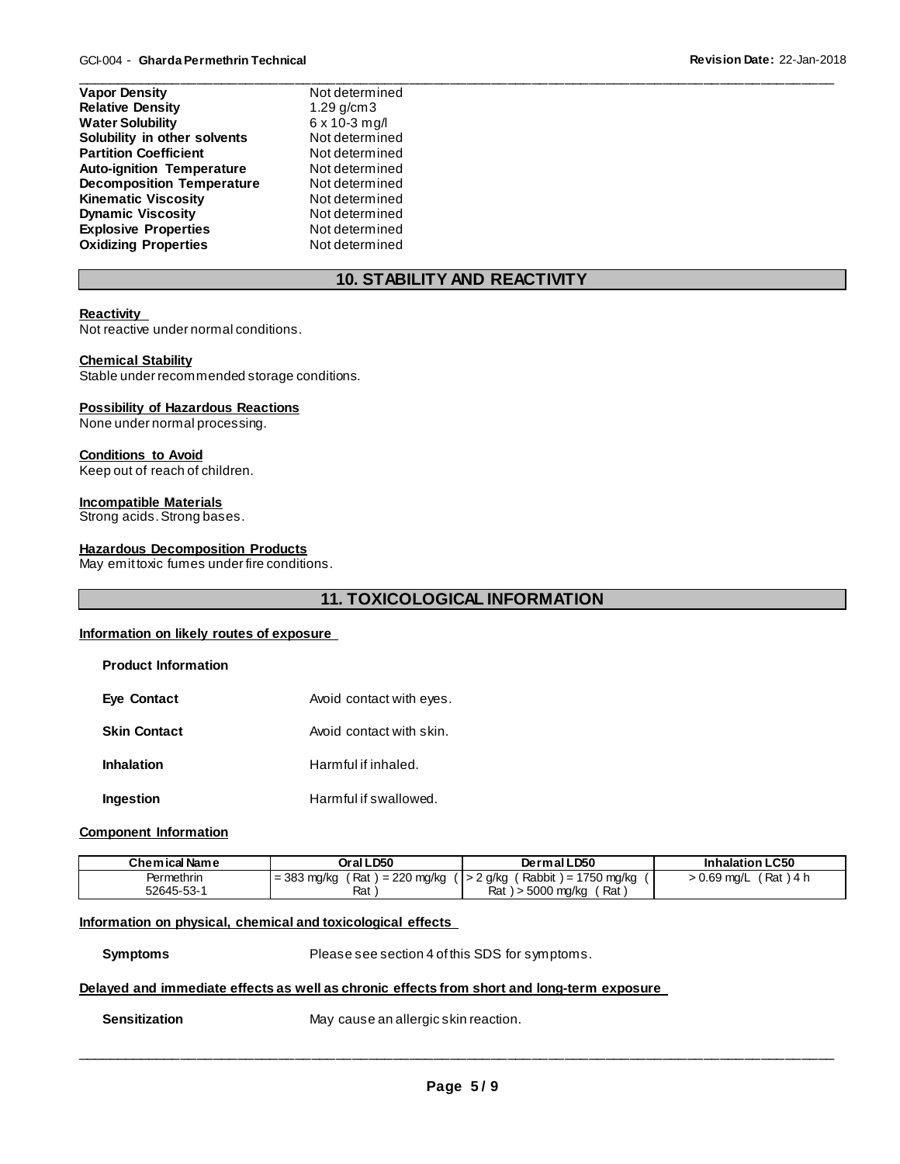| <b>Relative Density</b><br>1.29 $g/cm3$<br><b>Water Solubility</b><br>6 x 10-3 mg/l<br>Solubility in other solvents<br><b>Partition Coefficient</b><br><b>Auto-ignition Temperature</b><br><b>Decomposition Temperature</b><br><b>Kinematic Viscosity</b><br><b>Dynamic Viscosity</b><br><b>Explosive Properties</b> | <b>Vapor Density</b>        | Not determined |
|----------------------------------------------------------------------------------------------------------------------------------------------------------------------------------------------------------------------------------------------------------------------------------------------------------------------|-----------------------------|----------------|
|                                                                                                                                                                                                                                                                                                                      |                             |                |
|                                                                                                                                                                                                                                                                                                                      |                             |                |
|                                                                                                                                                                                                                                                                                                                      |                             | Not determined |
|                                                                                                                                                                                                                                                                                                                      |                             | Not determined |
|                                                                                                                                                                                                                                                                                                                      |                             | Not determined |
|                                                                                                                                                                                                                                                                                                                      |                             | Not determined |
|                                                                                                                                                                                                                                                                                                                      |                             | Not determined |
|                                                                                                                                                                                                                                                                                                                      |                             | Not determined |
|                                                                                                                                                                                                                                                                                                                      |                             | Not determined |
|                                                                                                                                                                                                                                                                                                                      | <b>Oxidizing Properties</b> | Not determined |

# **10. STABILITY AND REACTIVITY**

\_\_\_\_\_\_\_\_\_\_\_\_\_\_\_\_\_\_\_\_\_\_\_\_\_\_\_\_\_\_\_\_\_\_\_\_\_\_\_\_\_\_\_\_\_\_\_\_\_\_\_\_\_\_\_\_\_\_\_\_\_\_\_\_\_\_\_\_\_\_\_\_\_\_\_\_\_\_\_\_\_\_\_\_\_\_\_\_\_\_\_\_\_

# **Reactivity**

Not reactive under normal conditions.

# **Chemical Stability**

Stable under recommended storage conditions.

# **Possibility of Hazardous Reactions**

None under normal processing.

# **Conditions to Avoid**

Keep out of reach of children.

# **Incompatible Materials**

Strong acids. Strong bases.

# **Hazardous Decomposition Products**

May emit toxic fumes under fire conditions.

# **11. TOXICOLOGICAL INFORMATION**

# **Information on likely routes of exposure**

| <b>Product Information</b> |                          |
|----------------------------|--------------------------|
| <b>Eye Contact</b>         | Avoid contact with eyes. |
| <b>Skin Contact</b>        | Avoid contact with skin. |
| <b>Inhalation</b>          | Harmful if inhaled.      |
| Ingestion                  | Harmful if swallowed.    |

# **Component Information**

| Chemical Name | Oral LD50                               | Dermal LD50                                 | <b>Inhalation LC50</b>       |
|---------------|-----------------------------------------|---------------------------------------------|------------------------------|
| Permethrin    | Rat i<br>i = 220 mg/kg<br>$=$ 383 mg/kg | ( Rabbit ) = 1750 mg/kg<br>$($ $ $ > 2 g/kg | $'$ Rat ) 4 h<br>0.69 mg/L > |
| 52645-53-1    | Rat                                     | Rat<br>Rat<br>, > 5000 mg/kg                |                              |

# **Information on physical, chemical and toxicological effects**

**Symptoms** Please see section 4 of this SDS for symptoms.

# **Delayed and immediate effects as well as chronic effects from short and long-term exposure**

**Sensitization May cause an allergic skin reaction.**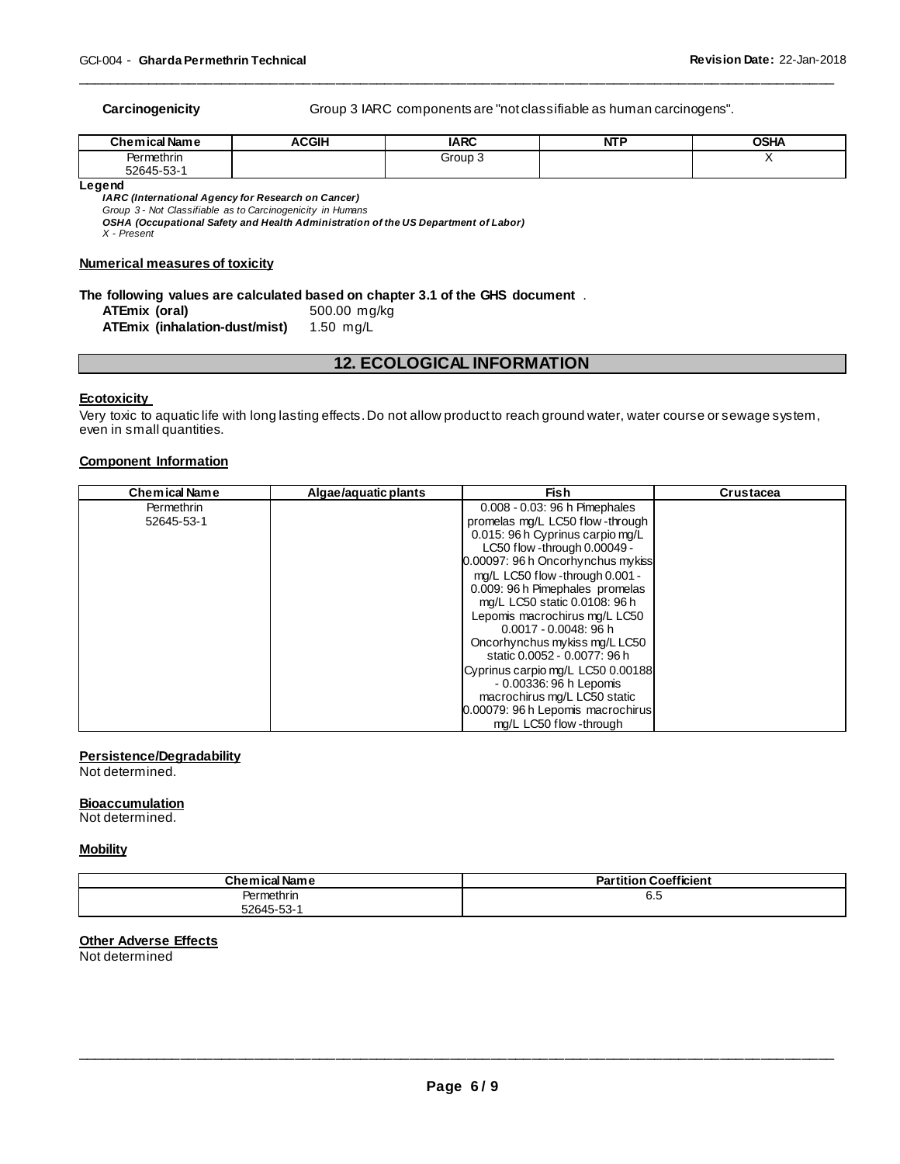**Carcinogenicity** Group 3 IARC components are "not classifiable as human carcinogens".

| <b>Chemical Name</b> | <b>ACGIH</b> | <b>IARC</b> | <b>NTP</b> | <b>OSHA</b> |
|----------------------|--------------|-------------|------------|-------------|
| Permethrin           |              | Group .     |            |             |
| 52645-53-            |              |             |            |             |

\_\_\_\_\_\_\_\_\_\_\_\_\_\_\_\_\_\_\_\_\_\_\_\_\_\_\_\_\_\_\_\_\_\_\_\_\_\_\_\_\_\_\_\_\_\_\_\_\_\_\_\_\_\_\_\_\_\_\_\_\_\_\_\_\_\_\_\_\_\_\_\_\_\_\_\_\_\_\_\_\_\_\_\_\_\_\_\_\_\_\_\_\_

**Legend** 

*IARC (International Agency for Research on Cancer) Group 3 - Not Classifiable as to Carcinogenicity in Humans* 

*OSHA (Occupational Safety and Health Administration of the US Department of Labor) X - Present* 

# **Numerical measures of toxicity**

# **The following values are calculated based on chapter 3.1 of the GHS document** .

**ATEmix (oral)** 500.00 mg/kg **ATEmix (inhalation-dust/mist)** 

# **12. ECOLOGICAL INFORMATION**

#### **Ecotoxicity**

Very toxic to aquatic life with long lasting effects. Do not allow product to reach ground water, water course or sewage system, even in small quantities.

# **Component Information**

| <b>Chemical Name</b> | Algae/aguatic plants | Fish                              | Crustacea |
|----------------------|----------------------|-----------------------------------|-----------|
| Permethrin           |                      | 0.008 - 0.03: 96 h Pimephales     |           |
| 52645-53-1           |                      | promelas mg/L LC50 flow-through   |           |
|                      |                      | 0.015: 96 h Cyprinus carpio mg/L  |           |
|                      |                      | LC50 flow -through 0.00049 -      |           |
|                      |                      | 0.00097: 96 h Oncorhynchus mykiss |           |
|                      |                      | mg/L LC50 flow -through 0.001 -   |           |
|                      |                      | 0.009: 96 h Pimephales promelas   |           |
|                      |                      | mg/L LC50 static 0.0108: 96 h     |           |
|                      |                      | Lepomis macrochirus mg/L LC50     |           |
|                      |                      | $0.0017 - 0.0048$ : 96 h          |           |
|                      |                      | Oncorhynchus mykiss mg/LLC50      |           |
|                      |                      | static 0.0052 - 0.0077: 96 h      |           |
|                      |                      | Cyprinus carpio mg/L LC50 0.00188 |           |
|                      |                      | - 0.00336: 96 h Lepomis           |           |
|                      |                      | macrochirus mg/L LC50 static      |           |
|                      |                      | 0.00079: 96 h Lepomis macrochirus |           |
|                      |                      | ma/L LC50 flow -through           |           |

# **Persistence/Degradability**

Not determined.

# **Bioaccumulation**

Not determined.

#### **Mobility**

| <b>Chemical Name</b> | <b>Partition Coefficient</b> |
|----------------------|------------------------------|
| Permethrin           | o.o                          |
| 52645-53-1           |                              |

# **Other Adverse Effects**

Not determined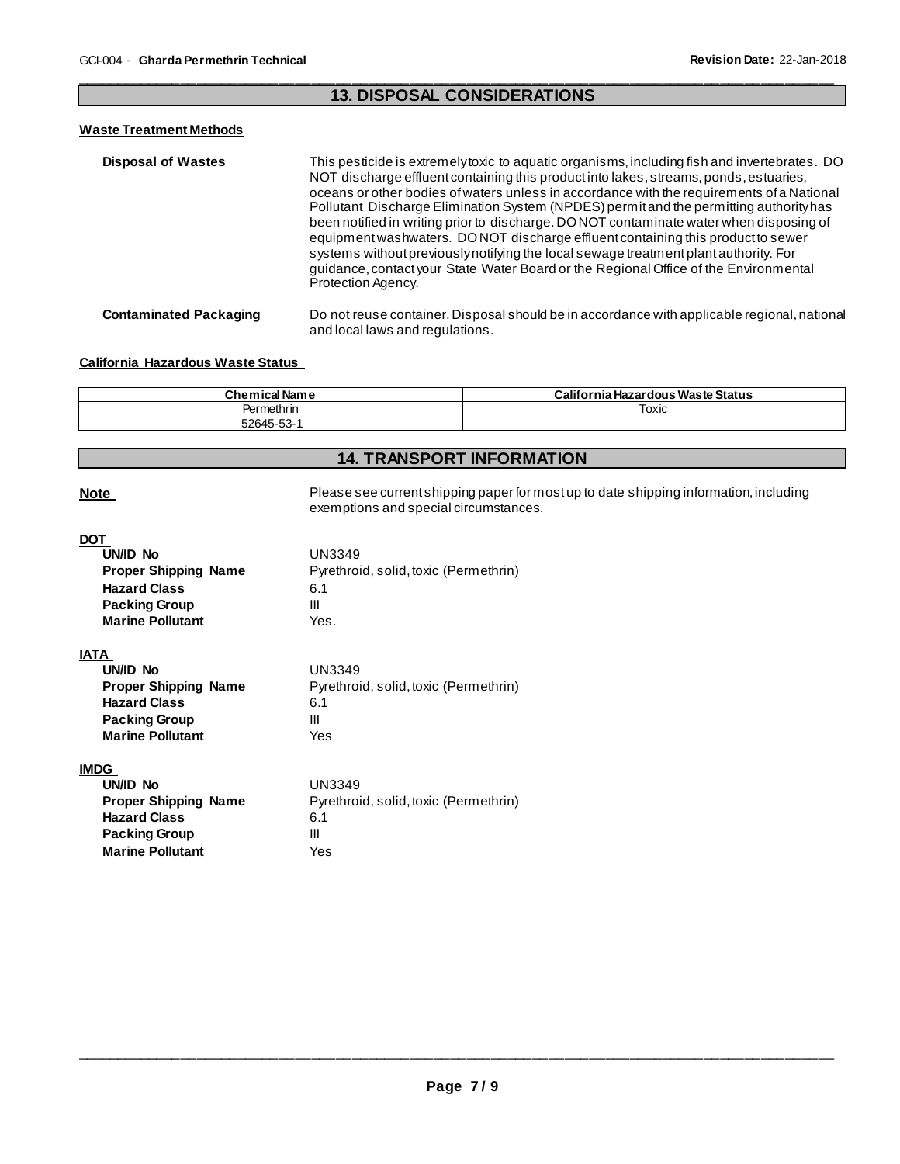# \_\_\_\_\_\_\_\_\_\_\_\_\_\_\_\_\_\_\_\_\_\_\_\_\_\_\_\_\_\_\_\_\_\_\_\_\_\_\_\_\_\_\_\_\_\_\_\_\_\_\_\_\_\_\_\_\_\_\_\_\_\_\_\_\_\_\_\_\_\_\_\_\_\_\_\_\_\_\_\_\_\_\_\_\_\_\_\_\_\_\_\_\_ **13. DISPOSAL CONSIDERATIONS**

# **Waste Treatment Methods**

| <b>Disposal of Wastes</b>     | This pesticide is extremelytoxic to aquatic organisms, including fish and invertebrates. DO<br>NOT discharge effluent containing this product into lakes, streams, ponds, estuaries,<br>oceans or other bodies of waters unless in accordance with the requirements of a National<br>Pollutant Discharge Elimination System (NPDES) permit and the permitting authority has<br>been notified in writing prior to discharge. DONOT contaminate water when disposing of<br>equipment was hwaters. DONOT discharge effluent containing this product to sewer<br>systems without previously notifying the local sewage treatment plant authority. For<br>guidance, contact your State Water Board or the Regional Office of the Environmental<br>Protection Agency. |
|-------------------------------|-----------------------------------------------------------------------------------------------------------------------------------------------------------------------------------------------------------------------------------------------------------------------------------------------------------------------------------------------------------------------------------------------------------------------------------------------------------------------------------------------------------------------------------------------------------------------------------------------------------------------------------------------------------------------------------------------------------------------------------------------------------------|
| <b>Contaminated Packaging</b> | Do not reuse container. Disposal should be in accordance with applicable regional, national<br>and local laws and regulations.                                                                                                                                                                                                                                                                                                                                                                                                                                                                                                                                                                                                                                  |

# **California Hazardous Waste Status**

| <b>Chemical Name</b> | California Hazardous Waste Status |
|----------------------|-----------------------------------|
| Permethrin           | Toxic                             |
| 52645-53-1           |                                   |

# **14. TRANSPORT INFORMATION**

Note **Note Please see current shipping paper for most up to date shipping information, including** exemptions and special circumstances.

# **DOT**

| . .<br>UN/ID No<br><b>Proper Shipping Name</b><br><b>Hazard Class</b><br><b>Packing Group</b><br><b>Marine Pollutant</b>         | UN3349<br>Pyrethroid, solid, toxic (Permethrin)<br>6.1<br>Ш<br>Yes. |
|----------------------------------------------------------------------------------------------------------------------------------|---------------------------------------------------------------------|
| <b>IATA</b><br>UN/ID No<br><b>Proper Shipping Name</b><br><b>Hazard Class</b><br><b>Packing Group</b><br><b>Marine Pollutant</b> | UN3349<br>Pyrethroid, solid, toxic (Permethrin)<br>6.1<br>Ш<br>Yes  |
| <b>IMDG</b><br>UN/ID No<br><b>Proper Shipping Name</b>                                                                           | UN3349<br>Pyrethroid, solid, toxic (Permethrin)                     |

**Hazard Class** 6.1 **Packing Group 111 Marine Pollutant** Yes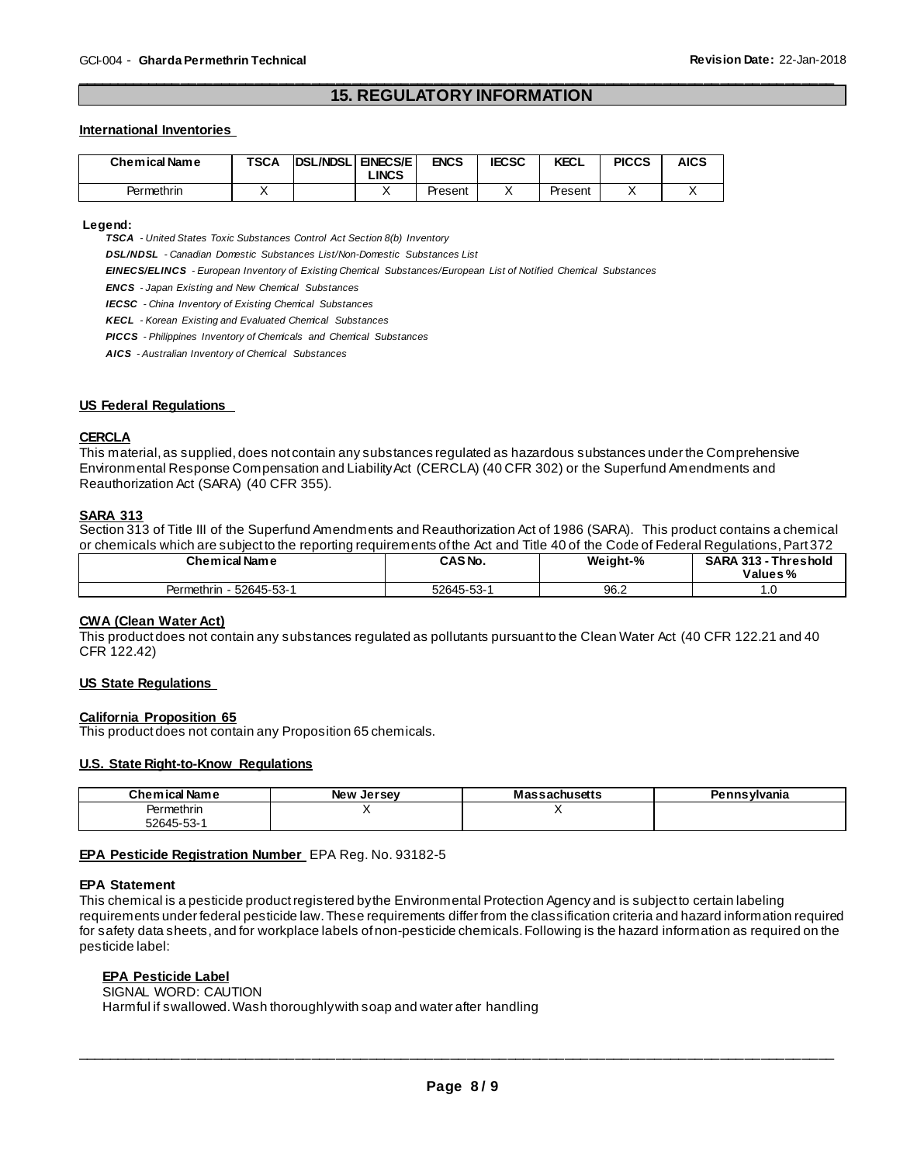# \_\_\_\_\_\_\_\_\_\_\_\_\_\_\_\_\_\_\_\_\_\_\_\_\_\_\_\_\_\_\_\_\_\_\_\_\_\_\_\_\_\_\_\_\_\_\_\_\_\_\_\_\_\_\_\_\_\_\_\_\_\_\_\_\_\_\_\_\_\_\_\_\_\_\_\_\_\_\_\_\_\_\_\_\_\_\_\_\_\_\_\_\_ **15. REGULATORY INFORMATION**

#### **International Inventories**

| Chemical Name | <b>TSCA</b> | <b>IDSL/NDSL</b> | <b>EINECS/E</b><br><b>LINCS</b> | <b>ENCS</b> | <b>IECSC</b> | <b>KECL</b> | <b>PICCS</b> | <b>AICS</b> |
|---------------|-------------|------------------|---------------------------------|-------------|--------------|-------------|--------------|-------------|
| Permethrin    |             |                  |                                 | Present     |              | Present     |              |             |

**Legend:** 

*TSCA - United States Toxic Substances Control Act Section 8(b) Inventory* 

*DSL/NDSL - Canadian Domestic Substances List/Non-Domestic Substances List* 

*EINECS/ELINCS - European Inventory of Existing Chemical Substances/European List of Notified Chemical Substances* 

*ENCS - Japan Existing and New Chemical Substances* 

*IECSC - China Inventory of Existing Chemical Substances* 

*KECL - Korean Existing and Evaluated Chemical Substances* 

*PICCS - Philippines Inventory of Chemicals and Chemical Substances* 

*AICS - Australian Inventory of Chemical Substances* 

# **US Federal Regulations**

# **CERCLA**

This material, as supplied, does not contain any substances regulated as hazardous substances under the Comprehensive Environmental Response Compensation and Liability Act (CERCLA) (40 CFR 302) or the Superfund Amendments and Reauthorization Act (SARA) (40 CFR 355).

# **SARA 313**

Section 313 of Title III of the Superfund Amendments and Reauthorization Act of 1986 (SARA). This product contains a chemical or chemicals which are subject to the reporting requirements of the Act and Title 40 of the Code of Federal Regulations, Part 372

| <b>Chemical Name</b>     | CAS <sub>No.</sub> | Weight-% | <b>SARA 313 -</b><br><b>Threshold</b><br>Values% |
|--------------------------|--------------------|----------|--------------------------------------------------|
| 52645-53-1<br>Permethrin | 52645-53-1         | 96.2     | . .                                              |

#### **CWA (Clean Water Act)**

This product does not contain any substances regulated as pollutants pursuant to the Clean Water Act (40 CFR 122.21 and 40 CFR 122.42)

# **US State Regulations**

#### **California Proposition 65**

This product does not contain any Proposition 65 chemicals.

#### **U.S. State Right-to-Know Regulations**

| .<br><b>Chemical Name</b> | New<br>Jersev | sachusetts | Pennsylvania |
|---------------------------|---------------|------------|--------------|
| Permethrin                |               |            |              |
| 52645-53-                 |               |            |              |

**EPA Pesticide Registration Number** EPA Reg. No. 93182-5

#### **EPA Statement**

This chemical is a pesticide product registered by the Environmental Protection Agency and is subject to certain labeling requirements under federal pesticide law. These requirements differ from the classification criteria and hazard information required for safety data sheets, and for workplace labels of non-pesticide chemicals. Following is the hazard information as required on the pesticide label:

# **EPA Pesticide Label**

SIGNAL WORD: CAUTION Harmful if swallowed. Wash thoroughly with soap and water after handling